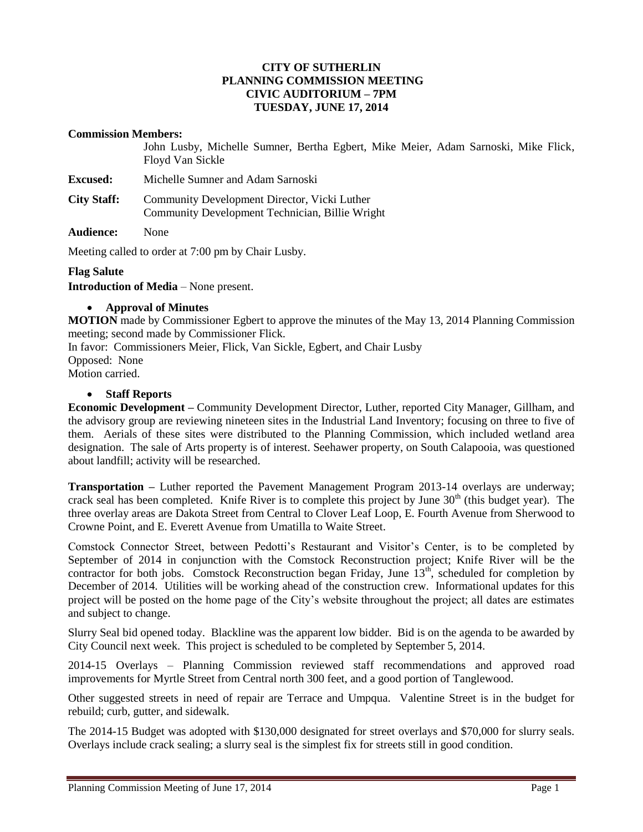## **CITY OF SUTHERLIN PLANNING COMMISSION MEETING CIVIC AUDITORIUM – 7PM TUESDAY, JUNE 17, 2014**

#### **Commission Members:**

John Lusby, Michelle Sumner, Bertha Egbert, Mike Meier, Adam Sarnoski, Mike Flick, Floyd Van Sickle

**Excused:** Michelle Sumner and Adam Sarnoski

**City Staff:** Community Development Director, Vicki Luther Community Development Technician, Billie Wright

**Audience:** None

Meeting called to order at 7:00 pm by Chair Lusby.

### **Flag Salute**

**Introduction of Media** – None present.

### **Approval of Minutes**

**MOTION** made by Commissioner Egbert to approve the minutes of the May 13, 2014 Planning Commission meeting; second made by Commissioner Flick.

In favor: Commissioners Meier, Flick, Van Sickle, Egbert, and Chair Lusby Opposed:None Motion carried.

### **Staff Reports**

**Economic Development –** Community Development Director, Luther, reported City Manager, Gillham, and the advisory group are reviewing nineteen sites in the Industrial Land Inventory; focusing on three to five of them. Aerials of these sites were distributed to the Planning Commission, which included wetland area designation. The sale of Arts property is of interest. Seehawer property, on South Calapooia, was questioned about landfill; activity will be researched.

**Transportation –** Luther reported the Pavement Management Program 2013-14 overlays are underway; crack seal has been completed. Knife River is to complete this project by June 30<sup>th</sup> (this budget year). The three overlay areas are Dakota Street from Central to Clover Leaf Loop, E. Fourth Avenue from Sherwood to Crowne Point, and E. Everett Avenue from Umatilla to Waite Street.

Comstock Connector Street, between Pedotti's Restaurant and Visitor's Center, is to be completed by September of 2014 in conjunction with the Comstock Reconstruction project; Knife River will be the contractor for both jobs. Comstock Reconstruction began Friday, June  $13<sup>th</sup>$ , scheduled for completion by December of 2014. Utilities will be working ahead of the construction crew. Informational updates for this project will be posted on the home page of the City's website throughout the project; all dates are estimates and subject to change.

Slurry Seal bid opened today. Blackline was the apparent low bidder. Bid is on the agenda to be awarded by City Council next week. This project is scheduled to be completed by September 5, 2014.

2014-15 Overlays – Planning Commission reviewed staff recommendations and approved road improvements for Myrtle Street from Central north 300 feet, and a good portion of Tanglewood.

Other suggested streets in need of repair are Terrace and Umpqua. Valentine Street is in the budget for rebuild; curb, gutter, and sidewalk.

The 2014-15 Budget was adopted with \$130,000 designated for street overlays and \$70,000 for slurry seals. Overlays include crack sealing; a slurry seal is the simplest fix for streets still in good condition.